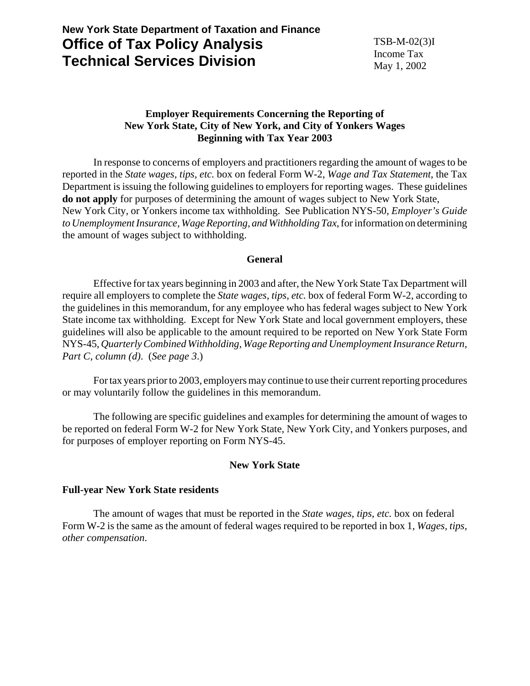# **New York State Department of Taxation and Finance Office of Tax Policy Analysis Technical Services Division**

## **Employer Requirements Concerning the Reporting of New York State, City of New York, and City of Yonkers Wages Beginning with Tax Year 2003**

In response to concerns of employers and practitioners regarding the amount of wages to be reported in the *State wages, tips, etc.* box on federal Form W-2, *Wage and Tax Statement*, the Tax Department is issuing the following guidelines to employers for reporting wages. These guidelines **do not apply** for purposes of determining the amount of wages subject to New York State, New York City, or Yonkers income tax withholding. See Publication NYS-50, *Employer's Guide to Unemployment Insurance, Wage Reporting, and Withholding Tax*, for information on determining the amount of wages subject to withholding.

#### **General**

Effective for tax years beginning in 2003 and after, the New York State Tax Department will require all employers to complete the *State wages, tips, etc.* box of federal Form W-2, according to the guidelines in this memorandum, for any employee who has federal wages subject to New York State income tax withholding. Except for New York State and local government employers, these guidelines will also be applicable to the amount required to be reported on New York State Form NYS-45, *Quarterly Combined Withholding, Wage Reporting and Unemployment Insurance Return*, *Part C, column (d)*. (*See page 3*.)

For tax years prior to 2003, employers may continue to use their current reporting procedures or may voluntarily follow the guidelines in this memorandum.

The following are specific guidelines and examples for determining the amount of wages to be reported on federal Form W-2 for New York State, New York City, and Yonkers purposes, and for purposes of employer reporting on Form NYS-45.

## **New York State**

## **Full-year New York State residents**

The amount of wages that must be reported in the *State wages, tips, etc.* box on federal Form W-2 is the same as the amount of federal wages required to be reported in box 1, *Wages, tips, other compensation*.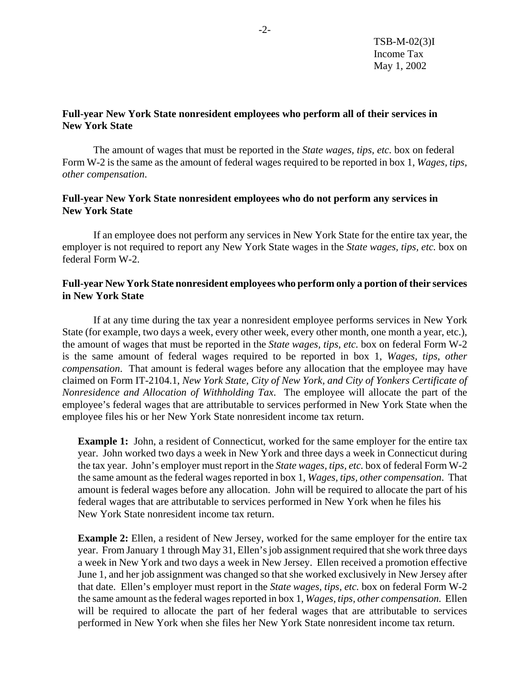## **Full-year New York State nonresident employees who perform all of their services in New York State**

The amount of wages that must be reported in the *State wages, tips, etc.* box on federal Form W-2 is the same as the amount of federal wages required to be reported in box 1, *Wages, tips, other compensation*.

## **New York State Full-year New York State nonresident employees who do not perform any services in**

If an employee does not perform any services in New York State for the entire tax year, the employer is not required to report any New York State wages in the *State wages, tips, etc.* box on federal Form W-2.

## **Full-year New York State nonresident employees who perform only a portion of their services in New York State**

If at any time during the tax year a nonresident employee performs services in New York State (for example, two days a week, every other week, every other month, one month a year, etc.), the amount of wages that must be reported in the *State wages, tips, etc.* box on federal Form W-2 is the same amount of federal wages required to be reported in box 1, *Wages, tips, other compensation*. That amount is federal wages before any allocation that the employee may have claimed on Form IT-2104.1, *New York State, City of New York, and City of Yonkers Certificate of Nonresidence and Allocation of Withholding Tax*. The employee will allocate the part of the employee's federal wages that are attributable to services performed in New York State when the employee files his or her New York State nonresident income tax return.

**Example 1:** John, a resident of Connecticut, worked for the same employer for the entire tax year. John worked two days a week in New York and three days a week in Connecticut during the tax year. John's employer must report in the *State wages, tips, etc.* box of federal Form W-2 the same amount as the federal wages reported in box 1, *Wages, tips, other compensation*. That amount is federal wages before any allocation. John will be required to allocate the part of his federal wages that are attributable to services performed in New York when he files his New York State nonresident income tax return.

**Example 2:** Ellen, a resident of New Jersey, worked for the same employer for the entire tax year. From January 1 through May 31, Ellen's job assignment required that she work three days a week in New York and two days a week in New Jersey. Ellen received a promotion effective June 1, and her job assignment was changed so that she worked exclusively in New Jersey after that date. Ellen's employer must report in the *State wages, tips, etc.* box on federal Form W-2 the same amount as the federal wages reported in box 1, *Wages, tips, other compensation.* Ellen will be required to allocate the part of her federal wages that are attributable to services performed in New York when she files her New York State nonresident income tax return.